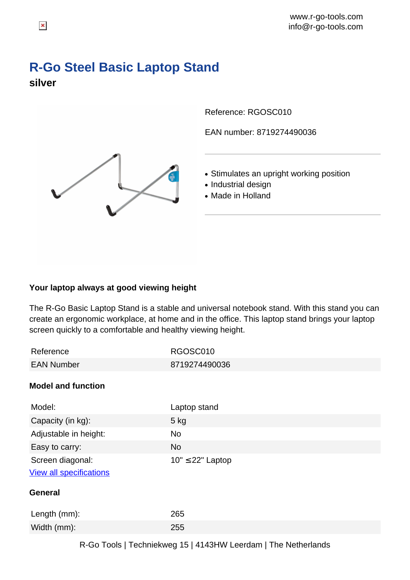## **R-Go Steel Basic Laptop Stand silver**

Reference: RGOSC010

EAN number: 8719274490036

- Stimulates an upright working position
- Industrial design
- Made in Holland

## **Your laptop always at good viewing height**

The R-Go Basic Laptop Stand is a stable and universal notebook stand. With this stand you can create an ergonomic workplace, at home and in the office. This laptop stand brings your laptop screen quickly to a comfortable and healthy viewing height.

| RGOSC010              |
|-----------------------|
| 8719274490036         |
|                       |
| Laptop stand          |
| $5$ kg                |
| No                    |
| <b>No</b>             |
| $10" \leq 22"$ Laptop |
|                       |
|                       |
| 265                   |
| 255                   |
|                       |